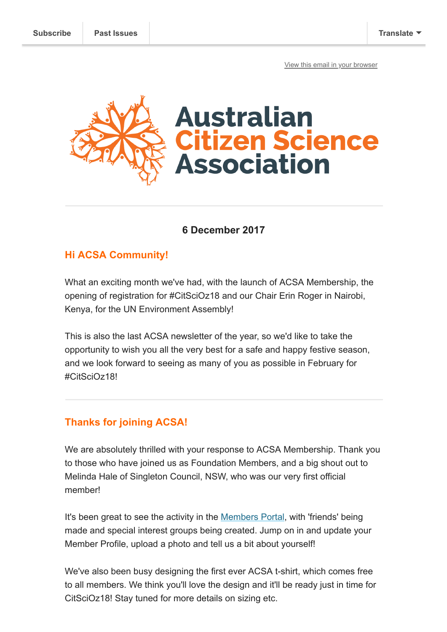[View this email in your browser](https://mailchi.mp/338163942505/final-update-for-2017-citscioz18-erinunep-and-more?e=[UNIQID])



## **6 December 2017**

## **Hi ACSA Community!**

What an exciting month we've had, with the launch of ACSA Membership, the opening of registration for #CitSciOz18 and our Chair Erin Roger in Nairobi, Kenya, for the UN Environment Assembly!

This is also the last ACSA newsletter of the year, so we'd like to take the opportunity to wish you all the very best for a safe and happy festive season, and we look forward to seeing as many of you as possible in February for #CitSciOz18!

## **Thanks for joining ACSA!**

We are absolutely thrilled with your response to ACSA Membership. Thank you to those who have joined us as Foundation Members, and a big shout out to Melinda Hale of Singleton Council, NSW, who was our very first official member!

It's been great to see the activity in the [Members Portal,](https://www.citizenscience.org.au/members-portal-introduction/) with 'friends' being made and special interest groups being created. Jump on in and update your Member Profile, upload a photo and tell us a bit about yourself!

We've also been busy designing the first ever ACSA t-shirt, which comes free to all members. We think you'll love the design and it'll be ready just in time for CitSciOz18! Stay tuned for more details on sizing etc.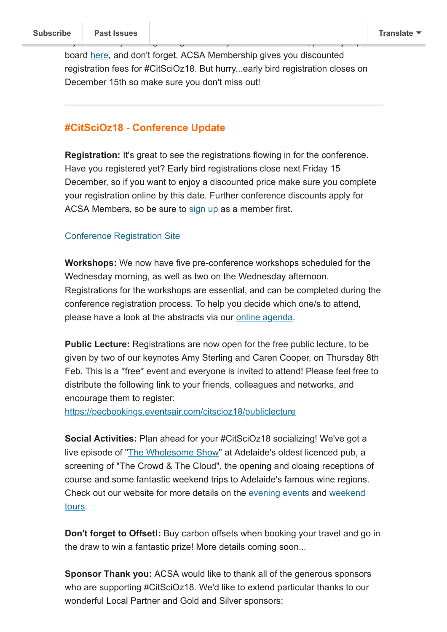board [here,](https://www.citizenscience.org.au/join-now/) and don't forget, ACSA Membership gives you discounted registration fees for #CitSciOz18. But hurry...early bird registration closes on December 15th so make sure you don't miss out!

If yo[u want to join our](https://us9.campaign-archive.com/home/?u=bf6c4fb11671f5919db89feda&id=40b221ed15) growing community of ACSA Members, please jump on

### **#CitSciOz18 - Conference Update**

**Registration:** It's great to see the registrations flowing in for the conference. Have you registered yet? Early bird registrations close next Friday 15 December, so if you want to enjoy a discounted price make sure you complete your registration online by this date. Further conference discounts apply for ACSA Members, so be sure to [sign up](http://www.citizenscience.org.au/join-now/) as a member first.

#### [Conference Registration Site](https://pecbookings.eventsair.com/citscioz18/registration/Site/Register)

**Workshops:** We now have five pre-conference workshops scheduled for the Wednesday morning, as well as two on the Wednesday afternoon. Registrations for the workshops are essential, and can be completed during the conference registration process. To help you decide which one/s to attend, please have a look at the abstracts via our [online agenda](https://pecbookings.eventsair.com/QuickEventWebsitePortal/citscioz18/onlineagenda/Agenda).

**Public Lecture:** Registrations are now open for the free public lecture, to be given by two of our keynotes Amy Sterling and Caren Cooper, on Thursday 8th Feb. This is a \*free\* event and everyone is invited to attend! Please feel free to distribute the following link to your friends, colleagues and networks, and encourage them to register:

[https://pecbookings.eventsair.com/citscioz18/publiclecture](https://pecbookings.eventsair.com/citscioz18/publiclecture/Site/Register)

**Social Activities:** Plan ahead for your #CitSciOz18 socializing! We've got a live episode of "[The Wholesome Show"](http://wholesomeshow.com/) at Adelaide's oldest licenced pub, a screening of "The Crowd & The Cloud", the opening and closing receptions of course and some fantastic weekend trips to Adelaide's famous wine regions. [Check out our website for more details on the evening events and weekend](https://citizenscience.org.au/citscioz18-conference-information/post-conference-tours/) tours.

**Don't forget to Offset!:** Buy carbon offsets when booking your travel and go in the draw to win a fantastic prize! More details coming soon...

**Sponsor Thank you:** ACSA would like to thank all of the generous sponsors who are supporting #CitSciOz18. We'd like to extend particular thanks to our wonderful Local Partner and Gold and Silver sponsors: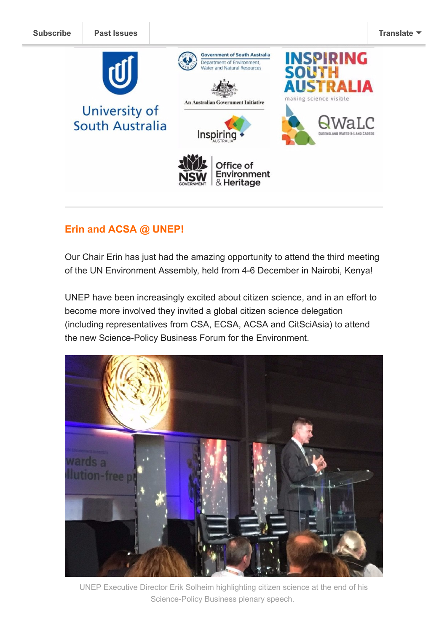

# **Erin and ACSA @ UNEP!**

Our Chair Erin has just had the amazing opportunity to attend the third meeting of the UN Environment Assembly, held from 4-6 December in Nairobi, Kenya!

UNEP have been increasingly excited about citizen science, and in an effort to become more involved they invited a global citizen science delegation (including representatives from CSA, ECSA, ACSA and CitSciAsia) to attend the new Science-Policy Business Forum for the Environment.



UNEP Executive Director Erik Solheim highlighting citizen science at the end of his Science-Policy Business plenary speech.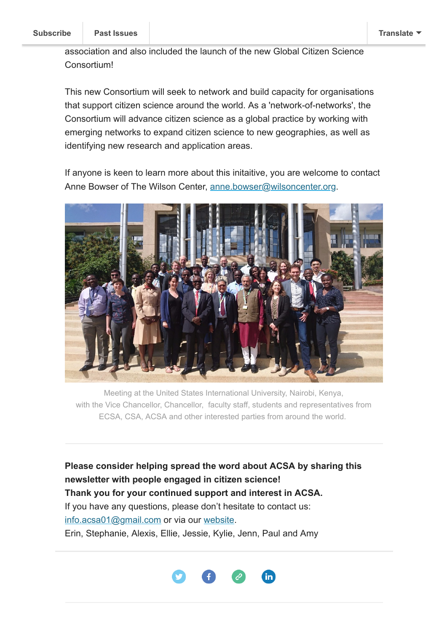association and also included the launch of the new Global Citizen Science Consortium!

This new Consortium will seek to network and build capacity for organisations that support citizen science around the world. As a 'network-of-networks', the Consortium will advance citizen science as a global practice by working with emerging networks to expand citizen science to new geographies, as well as identifying new research and application areas.

If anyone is keen to learn more about this initaitive, you are welcome to contact Anne Bowser of The Wilson Center, [anne.bowser@wilsoncenter.org.](mailto:anne.bowser@wilsoncenter.org)



Meeting at the United States International University, Nairobi, Kenya, with the Vice Chancellor, Chancellor, faculty staff, students and representatives from ECSA, CSA, ACSA and other interested parties from around the world.

**Please consider helping spread the word about ACSA by sharing this newsletter with people engaged in citizen science! Thank you for your continued support and interest in ACSA.** If you have any questions, please don't hesitate to contact us: [info.acsa01@gmail.com](mailto:info.acsa01@gmail.com) or via our [website](http://csna.gaiaresources.com.au/wordpress/contact-us/). Erin, Stephanie, Alexis, Ellie, Jessie, Kylie, Jenn, Paul and Amy